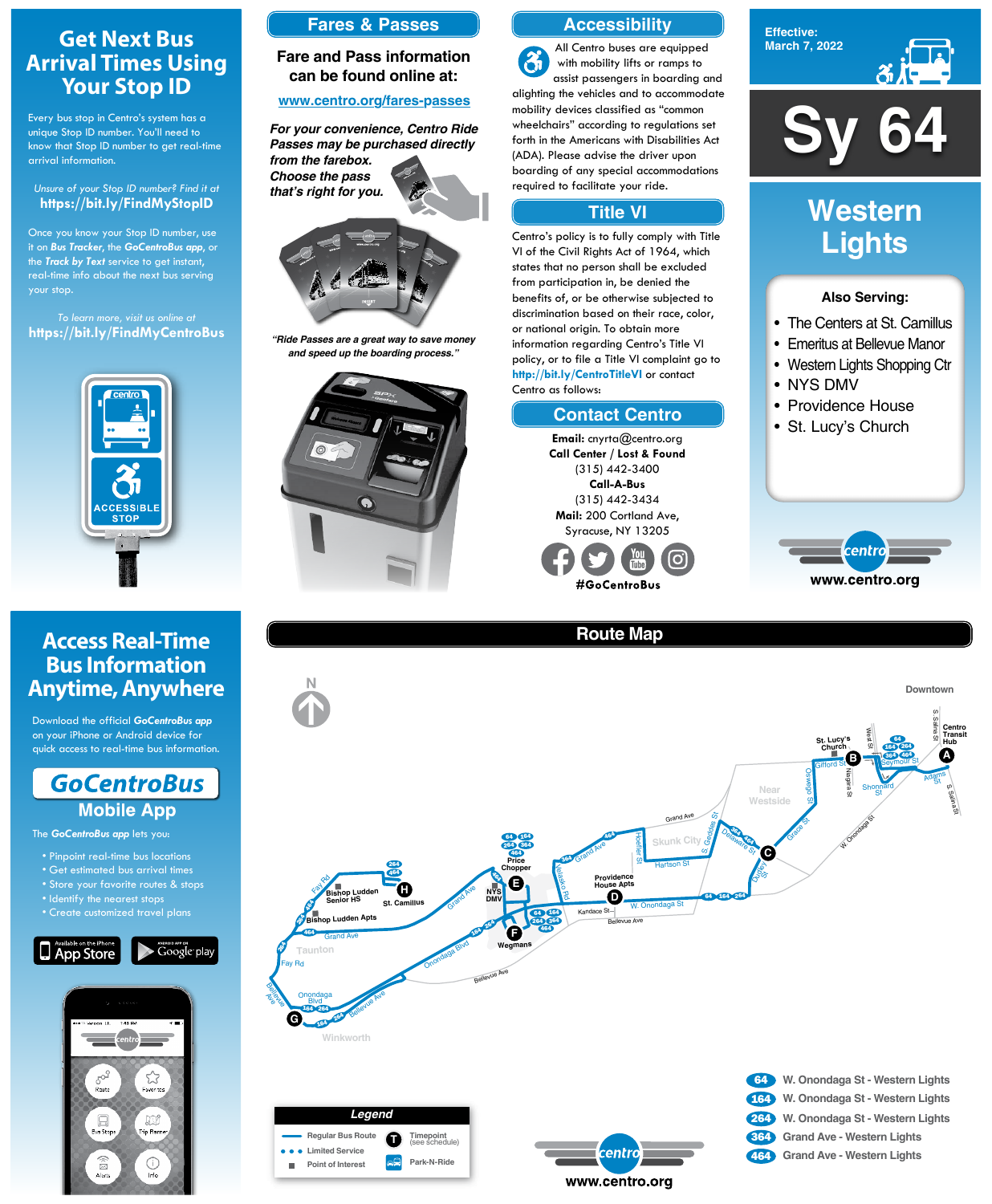**Sy 64**

#### **Effective: March 7, 2022**



#### **Also Serving:**

- The Centers at St. Camillus
- Emeritus at Bellevue Manor
- Western Lights Shopping Ctr
- NYS DMV
- Providence House
- St. Lucy's Church



# **Western Lights**

# **Get Next Bus Arrival Times Using Your Stop ID**

Every bus stop in Centro's system has a unique Stop ID number. You'll need to know that Stop ID number to get real-time arrival information.

#### *Unsure of your Stop ID number? Find it at* **https://bit.ly/FindMyStopID**

- Pinpoint real-time bus locations
- Get estimated bus arrival times
- Store your favorite routes & stops

Once you know your Stop ID number, use it on *Bus Tracker*, the *GoCentroBus app*, or the *Track by Text* service to get instant, real-time info about the next bus serving your stop.

*To learn more, visit us online at* **https://bit.ly/FindMyCentroBus**



# **Access Real-Time Bus Information Anytime, Anywhere**

Download the official *GoCentroBus app* on your iPhone or Android device for quick access to real-time bus information.



The *GoCentroBus app* lets you:

- Identify the nearest stops
- 





# **Route Map**





## **Accessibility**

## **Contact Centro**

## **Title VI**

All Centro buses are equipped  $\mathfrak{F}$ with mobility lifts or ramps to assist passengers in boarding and alighting the vehicles and to accommodate mobility devices classified as "common wheelchairs" according to regulations set forth in the Americans with Disabilities Act (ADA). Please advise the driver upon boarding of any special accommodations required to facilitate your ride.

Centro's policy is to fully comply with Title VI of the Civil Rights Act of 1964, which states that no person shall be excluded from participation in, be denied the benefits of, or be otherwise subjected to discrimination based on their race, color, or national origin. To obtain more information regarding Centro's Title VI policy, or to file a Title VI complaint go to **http://bit.ly/CentroTitleVI** or contact Centro as follows:

> **Email:** cnyrta@centro.org **Call Center / Lost & Found** (315) 442-3400 **Call-A-Bus** (315) 442-3434 **Mail:** 200 Cortland Ave, Syracuse, NY 13205



### **Fares & Passes**

#### **Fare and Pass information can be found online at:**

#### **www.centro.org/fares-passes**



*"Ride Passes are a great way to save money and speed up the boarding process."*



*For your convenience, Centro Ride Passes may be purchased directly from the farebox. Choose the pass that's right for you.*